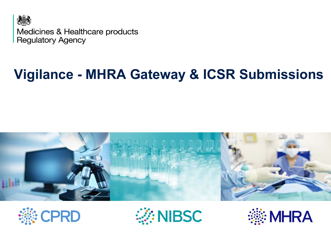

Medicines & Healthcare products **Regulatory Agency** 

### **Vigilance - MHRA Gateway & ICSR Submissions**







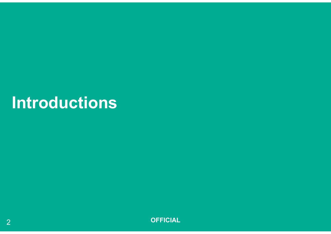## **Introductions**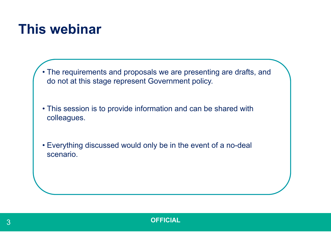#### **This webinar**

• The requirements and proposals we are presenting are drafts, and do not at this stage represent Government policy.

• This session is to provide information and can be shared with colleagues.

• Everything discussed would only be in the event of a no-deal scenario.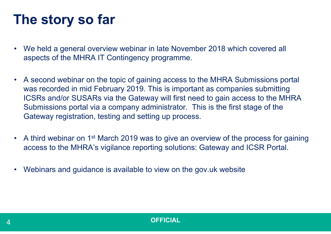### **The story so far**

- We held a general overview webinar in late November 2018 which covered all aspects of the MHRA IT Contingency programme.
- A second webinar on the topic of gaining access to the MHRA Submissions portal was recorded in mid February 2019. This is important as companies submitting ICSRs and/or SUSARs via the Gateway will first need to gain access to the MHRA Submissions portal via a company administrator. This is the first stage of the Gateway registration, testing and setting up process.
- A third webinar on 1<sup>st</sup> March 2019 was to give an overview of the process for gaining access to the MHRA's vigilance reporting solutions: Gateway and ICSR Portal.
- $\bullet$ Webinars and guidance is available to view on the gov.uk website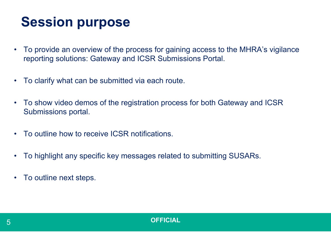## **Session purpose**

- $\bullet$  To provide an overview of the process for gaining access to the MHRA's vigilance reporting solutions: Gateway and ICSR Submissions Portal.
- •To clarify what can be submitted via each route.
- • To show video demos of the registration process for both Gateway and ICSR Submissions portal.
- •To outline how to receive ICSR notifications.
- •To highlight any specific key messages related to submitting SUSARs.
- •To outline next steps.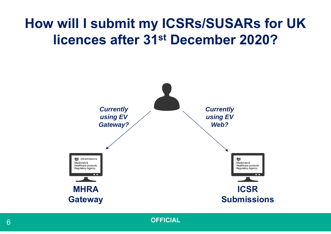### **How will I submit my ICSRs/SUSARs for UK licences after 31st December 2020?**

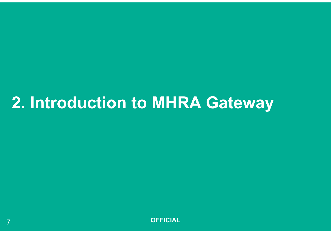## **2. Introduction to MHRA Gateway**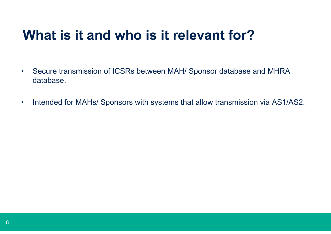#### **What is it and who is it relevant for?**

- $\bullet$  Secure transmission of ICSRs between MAH/ Sponsor database and MHRA database.
- $\bullet$ Intended for MAHs/ Sponsors with systems that allow transmission via AS1/AS2.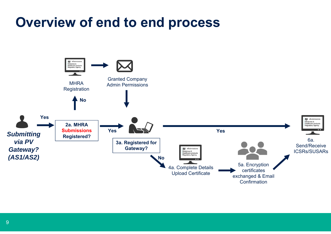#### **Overview of end to end process**

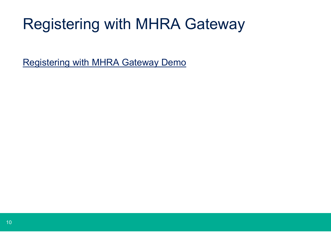# Registering with MHRA Gateway

[Registering with MHRA Gateway Demo](https://mhra-transfer.sharefile.com/d-s926fbf1592c4d469)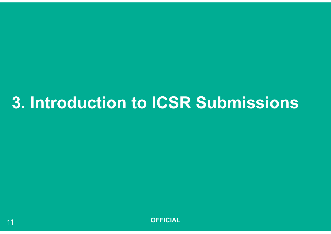# **3. Introduction to ICSR Submissions**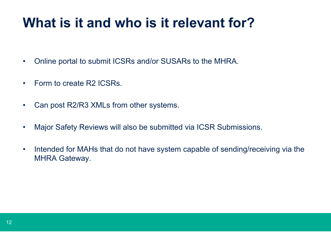#### **What is it and who is it relevant for?**

- •Online portal to submit ICSRs and/or SUSARs to the MHRA.
- •Form to create R2 ICSRs.
- •Can post R2/R3 XMLs from other systems.
- •Major Safety Reviews will also be submitted via ICSR Submissions.
- • Intended for MAHs that do not have system capable of sending/receiving via the MHRA Gateway.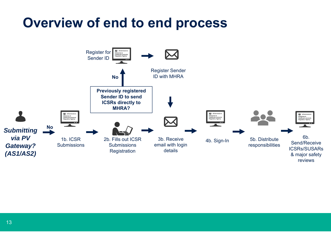#### **Overview of end to end process**

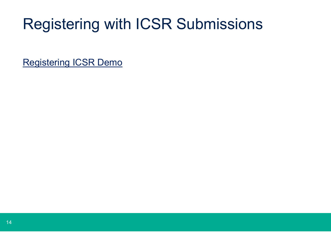# Registering with ICSR Submissions

[Registering ICSR Demo](https://mhra-transfer.sharefile.com/d-s411401f7c754817b)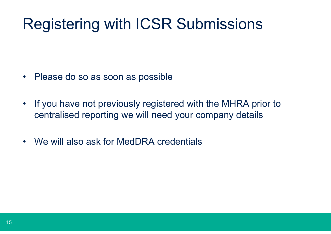# Registering with ICSR Submissions

- Please do so as soon as possible
- $\bullet$  If you have not previously registered with the MHRA prior to centralised reporting we will need your company details
- •We will also ask for MedDRA credentials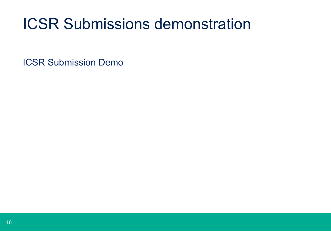## ICSR Submissions demonstration

[ICSR Submission Demo](https://mhra-transfer.sharefile.com/d-s24f242a70d44d55b)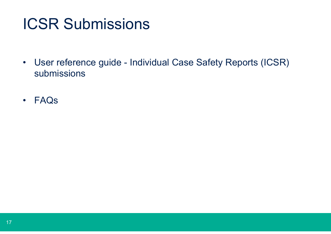## ICSR Submissions

- • User reference guide - Individual Case Safety Reports (ICSR) submissions
- •FAQs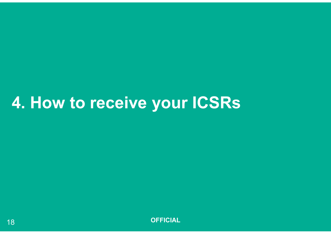# **4. How to receive your ICSRs**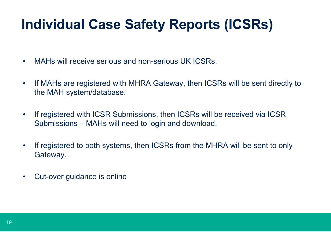### **Individual Case Safety Reports (ICSRs)**

- •MAHs will receive serious and non-serious UK ICSRs.
- • If MAHs are registered with MHRA Gateway, then ICSRs will be sent directly to the MAH system/database.
- • If registered with ICSR Submissions, then ICSRs will be received via ICSR Submissions – MAHs will need to login and download.
- • If registered to both systems, then ICSRs from the MHRA will be sent to only Gateway.
- $\bullet$ Cut-over guidance is online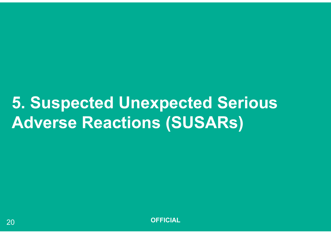# **5. Suspected Unexpected Serious Adverse Reactions (SUSARs)**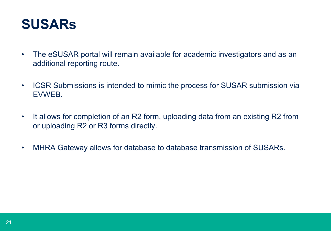

- • The eSUSAR portal will remain available for academic investigators and as an additional reporting route.
- • ICSR Submissions is intended to mimic the process for SUSAR submission via EVWEB.
- • It allows for completion of an R2 form, uploading data from an existing R2 from or uploading R2 or R3 forms directly.
- •MHRA Gateway allows for database to database transmission of SUSARs.